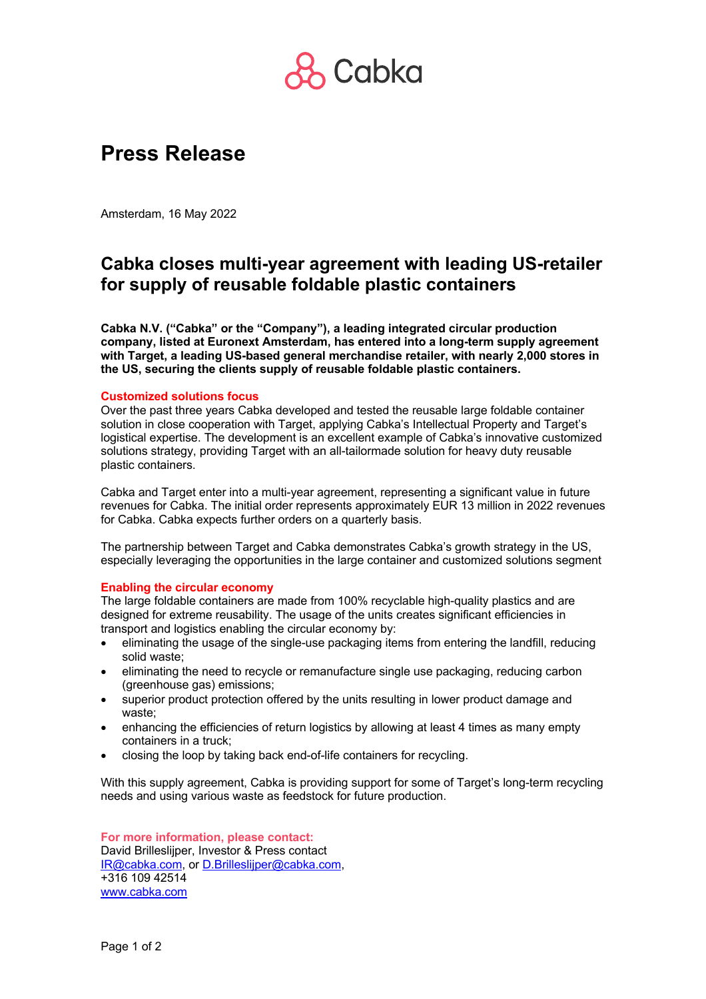

# **Press Release**

Amsterdam, 16 May 2022

## **Cabka closes multi-year agreement with leading US-retailer for supply of reusable foldable plastic containers**

**Cabka N.V. ("Cabka" or the "Company"), a leading integrated circular production company, listed at Euronext Amsterdam, has entered into a long-term supply agreement with Target, a leading US-based general merchandise retailer, with nearly 2,000 stores in the US, securing the clients supply of reusable foldable plastic containers.** 

### **Customized solutions focus**

Over the past three years Cabka developed and tested the reusable large foldable container solution in close cooperation with Target, applying Cabka's Intellectual Property and Target's logistical expertise. The development is an excellent example of Cabka's innovative customized solutions strategy, providing Target with an all-tailormade solution for heavy duty reusable plastic containers.

Cabka and Target enter into a multi-year agreement, representing a significant value in future revenues for Cabka. The initial order represents approximately EUR 13 million in 2022 revenues for Cabka. Cabka expects further orders on a quarterly basis.

The partnership between Target and Cabka demonstrates Cabka's growth strategy in the US, especially leveraging the opportunities in the large container and customized solutions segment

### **Enabling the circular economy**

The large foldable containers are made from 100% recyclable high-quality plastics and are designed for extreme reusability. The usage of the units creates significant efficiencies in transport and logistics enabling the circular economy by:

- eliminating the usage of the single-use packaging items from entering the landfill, reducing solid waste;
- eliminating the need to recycle or remanufacture single use packaging, reducing carbon (greenhouse gas) emissions;
- superior product protection offered by the units resulting in lower product damage and waste;
- enhancing the efficiencies of return logistics by allowing at least 4 times as many empty containers in a truck;
- closing the loop by taking back end-of-life containers for recycling.

With this supply agreement, Cabka is providing support for some of Target's long-term recycling needs and using various waste as feedstock for future production.

**For more information, please contact:** David Brilleslijper, Investor & Press contact IR@cabka.com, or D.Brilleslijper@cabka.com, +316 109 42514 www.cabka.com